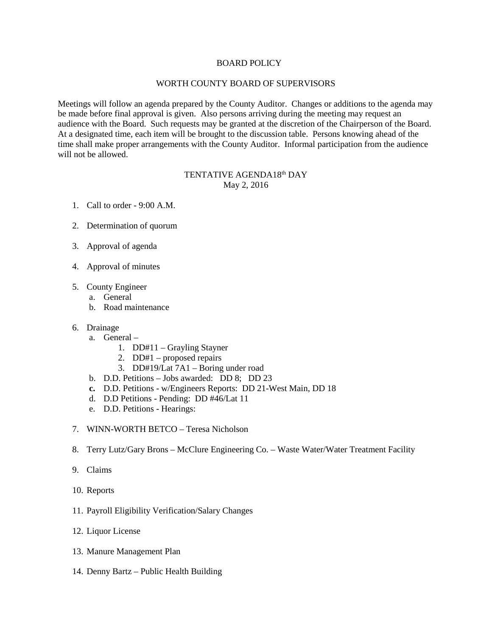## BOARD POLICY

## WORTH COUNTY BOARD OF SUPERVISORS

Meetings will follow an agenda prepared by the County Auditor. Changes or additions to the agenda may be made before final approval is given. Also persons arriving during the meeting may request an audience with the Board. Such requests may be granted at the discretion of the Chairperson of the Board. At a designated time, each item will be brought to the discussion table. Persons knowing ahead of the time shall make proper arrangements with the County Auditor. Informal participation from the audience will not be allowed.

## TENTATIVE AGENDA18<sup>th</sup> DAY May 2, 2016

- 1. Call to order 9:00 A.M.
- 2. Determination of quorum
- 3. Approval of agenda
- 4. Approval of minutes
- 5. County Engineer
	- a. General
	- b. Road maintenance
- 6. Drainage
	- a. General
		- 1. DD#11 Grayling Stayner
		- 2. DD#1 proposed repairs
		- 3. DD#19/Lat 7A1 Boring under road
	- b. D.D. Petitions Jobs awarded: DD 8; DD 23
	- **c.** D.D. Petitions w/Engineers Reports: DD 21-West Main, DD 18
	- d. D.D Petitions Pending: DD #46/Lat 11
	- e. D.D. Petitions Hearings:
- 7. WINN-WORTH BETCO Teresa Nicholson
- 8. Terry Lutz/Gary Brons McClure Engineering Co. Waste Water/Water Treatment Facility
- 9. Claims
- 10. Reports
- 11. Payroll Eligibility Verification/Salary Changes
- 12. Liquor License
- 13. Manure Management Plan
- 14. Denny Bartz Public Health Building